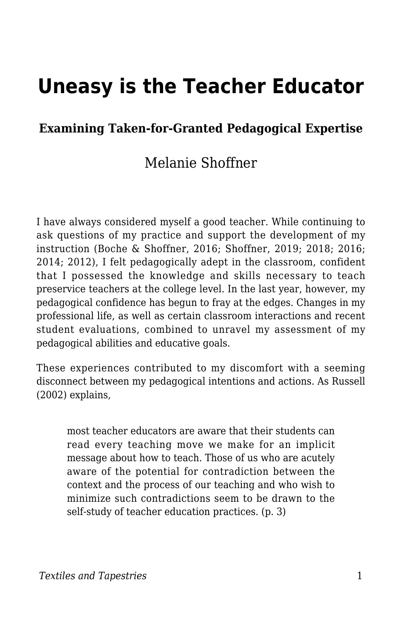# **Uneasy is the Teacher Educator**

#### **Examining Taken-for-Granted Pedagogical Expertise**

#### Melanie Shoffner

I have always considered myself a good teacher. While continuing to ask questions of my practice and support the development of my instruction (Boche & Shoffner, 2016; Shoffner, 2019; 2018; 2016; 2014; 2012), I felt pedagogically adept in the classroom, confident that I possessed the knowledge and skills necessary to teach preservice teachers at the college level. In the last year, however, my pedagogical confidence has begun to fray at the edges. Changes in my professional life, as well as certain classroom interactions and recent student evaluations, combined to unravel my assessment of my pedagogical abilities and educative goals.

These experiences contributed to my discomfort with a seeming disconnect between my pedagogical intentions and actions. As Russell (2002) explains,

most teacher educators are aware that their students can read every teaching move we make for an implicit message about how to teach. Those of us who are acutely aware of the potential for contradiction between the context and the process of our teaching and who wish to minimize such contradictions seem to be drawn to the self-study of teacher education practices. (p. 3)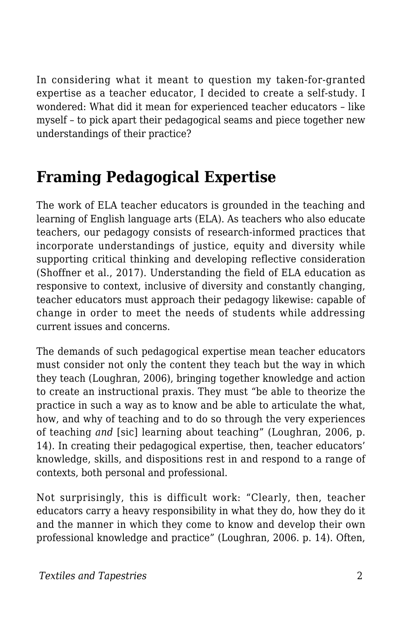In considering what it meant to question my taken-for-granted expertise as a teacher educator, I decided to create a self-study. I wondered: What did it mean for experienced teacher educators – like myself – to pick apart their pedagogical seams and piece together new understandings of their practice?

## **Framing Pedagogical Expertise**

The work of ELA teacher educators is grounded in the teaching and learning of English language arts (ELA). As teachers who also educate teachers, our pedagogy consists of research-informed practices that incorporate understandings of justice, equity and diversity while supporting critical thinking and developing reflective consideration (Shoffner et al., 2017). Understanding the field of ELA education as responsive to context, inclusive of diversity and constantly changing, teacher educators must approach their pedagogy likewise: capable of change in order to meet the needs of students while addressing current issues and concerns.

The demands of such pedagogical expertise mean teacher educators must consider not only the content they teach but the way in which they teach (Loughran, 2006), bringing together knowledge and action to create an instructional praxis. They must "be able to theorize the practice in such a way as to know and be able to articulate the what, how, and why of teaching and to do so through the very experiences of teaching *and* [sic] learning about teaching" (Loughran, 2006, p. 14). In creating their pedagogical expertise, then, teacher educators' knowledge, skills, and dispositions rest in and respond to a range of contexts, both personal and professional.

Not surprisingly, this is difficult work: "Clearly, then, teacher educators carry a heavy responsibility in what they do, how they do it and the manner in which they come to know and develop their own professional knowledge and practice" (Loughran, 2006. p. 14). Often,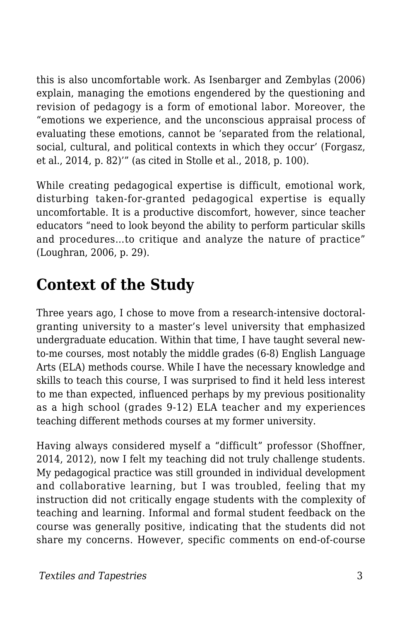this is also uncomfortable work. As Isenbarger and Zembylas (2006) explain, managing the emotions engendered by the questioning and revision of pedagogy is a form of emotional labor. Moreover, the "emotions we experience, and the unconscious appraisal process of evaluating these emotions, cannot be 'separated from the relational, social, cultural, and political contexts in which they occur' (Forgasz, et al., 2014, p. 82)'" (as cited in Stolle et al., 2018, p. 100).

While creating pedagogical expertise is difficult, emotional work, disturbing taken-for-granted pedagogical expertise is equally uncomfortable. It is a productive discomfort, however, since teacher educators "need to look beyond the ability to perform particular skills and procedures…to critique and analyze the nature of practice" (Loughran, 2006, p. 29).

## **Context of the Study**

Three years ago, I chose to move from a research-intensive doctoralgranting university to a master's level university that emphasized undergraduate education. Within that time, I have taught several newto-me courses, most notably the middle grades (6-8) English Language Arts (ELA) methods course. While I have the necessary knowledge and skills to teach this course, I was surprised to find it held less interest to me than expected, influenced perhaps by my previous positionality as a high school (grades 9-12) ELA teacher and my experiences teaching different methods courses at my former university.

Having always considered myself a "difficult" professor (Shoffner, 2014, 2012), now I felt my teaching did not truly challenge students. My pedagogical practice was still grounded in individual development and collaborative learning, but I was troubled, feeling that my instruction did not critically engage students with the complexity of teaching and learning. Informal and formal student feedback on the course was generally positive, indicating that the students did not share my concerns. However, specific comments on end-of-course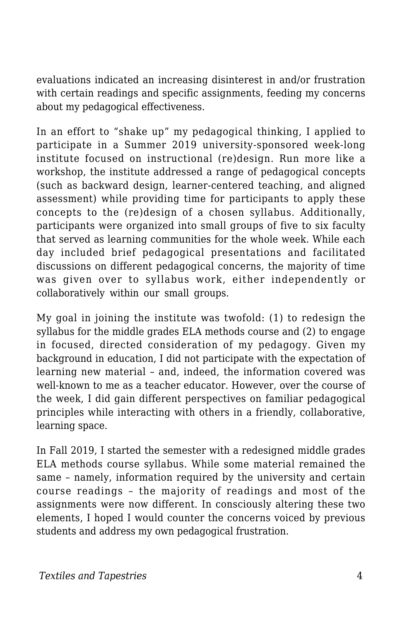evaluations indicated an increasing disinterest in and/or frustration with certain readings and specific assignments, feeding my concerns about my pedagogical effectiveness.

In an effort to "shake up" my pedagogical thinking, I applied to participate in a Summer 2019 university-sponsored week-long institute focused on instructional (re)design. Run more like a workshop, the institute addressed a range of pedagogical concepts (such as backward design, learner-centered teaching, and aligned assessment) while providing time for participants to apply these concepts to the (re)design of a chosen syllabus. Additionally, participants were organized into small groups of five to six faculty that served as learning communities for the whole week. While each day included brief pedagogical presentations and facilitated discussions on different pedagogical concerns, the majority of time was given over to syllabus work, either independently or collaboratively within our small groups.

My goal in joining the institute was twofold: (1) to redesign the syllabus for the middle grades ELA methods course and (2) to engage in focused, directed consideration of my pedagogy. Given my background in education, I did not participate with the expectation of learning new material – and, indeed, the information covered was well-known to me as a teacher educator. However, over the course of the week, I did gain different perspectives on familiar pedagogical principles while interacting with others in a friendly, collaborative, learning space.

In Fall 2019, I started the semester with a redesigned middle grades ELA methods course syllabus. While some material remained the same – namely, information required by the university and certain course readings – the majority of readings and most of the assignments were now different. In consciously altering these two elements, I hoped I would counter the concerns voiced by previous students and address my own pedagogical frustration.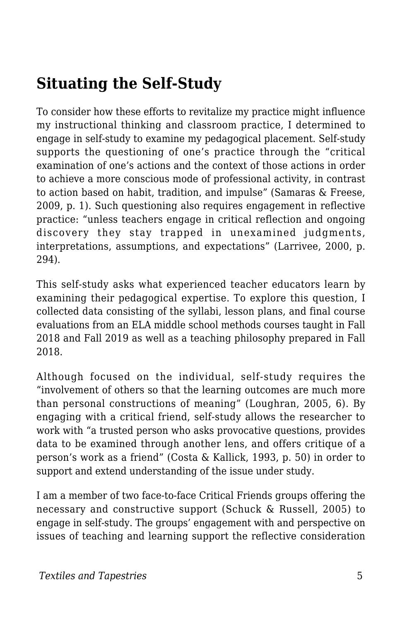## **Situating the Self-Study**

To consider how these efforts to revitalize my practice might influence my instructional thinking and classroom practice, I determined to engage in self-study to examine my pedagogical placement. Self-study supports the questioning of one's practice through the "critical examination of one's actions and the context of those actions in order to achieve a more conscious mode of professional activity, in contrast to action based on habit, tradition, and impulse" (Samaras & Freese, 2009, p. 1). Such questioning also requires engagement in reflective practice: "unless teachers engage in critical reflection and ongoing discovery they stay trapped in unexamined judgments, interpretations, assumptions, and expectations" (Larrivee, 2000, p. 294).

This self-study asks what experienced teacher educators learn by examining their pedagogical expertise. To explore this question, I collected data consisting of the syllabi, lesson plans, and final course evaluations from an ELA middle school methods courses taught in Fall 2018 and Fall 2019 as well as a teaching philosophy prepared in Fall 2018.

Although focused on the individual, self-study requires the "involvement of others so that the learning outcomes are much more than personal constructions of meaning" (Loughran, 2005, 6). By engaging with a critical friend, self-study allows the researcher to work with "a trusted person who asks provocative questions, provides data to be examined through another lens, and offers critique of a person's work as a friend" (Costa & Kallick, 1993, p. 50) in order to support and extend understanding of the issue under study.

I am a member of two face-to-face Critical Friends groups offering the necessary and constructive support (Schuck & Russell, 2005) to engage in self-study. The groups' engagement with and perspective on issues of teaching and learning support the reflective consideration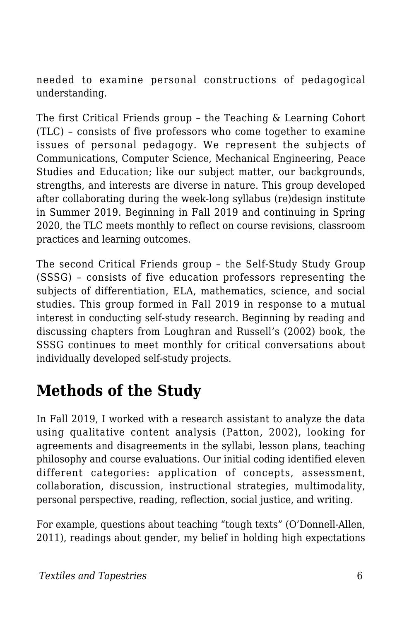needed to examine personal constructions of pedagogical understanding.

The first Critical Friends group – the Teaching & Learning Cohort (TLC) – consists of five professors who come together to examine issues of personal pedagogy. We represent the subjects of Communications, Computer Science, Mechanical Engineering, Peace Studies and Education; like our subject matter, our backgrounds, strengths, and interests are diverse in nature. This group developed after collaborating during the week-long syllabus (re)design institute in Summer 2019. Beginning in Fall 2019 and continuing in Spring 2020, the TLC meets monthly to reflect on course revisions, classroom practices and learning outcomes.

The second Critical Friends group – the Self-Study Study Group (SSSG) – consists of five education professors representing the subjects of differentiation, ELA, mathematics, science, and social studies. This group formed in Fall 2019 in response to a mutual interest in conducting self-study research. Beginning by reading and discussing chapters from Loughran and Russell's (2002) book, the SSSG continues to meet monthly for critical conversations about individually developed self-study projects.

### **Methods of the Study**

In Fall 2019, I worked with a research assistant to analyze the data using qualitative content analysis (Patton, 2002), looking for agreements and disagreements in the syllabi, lesson plans, teaching philosophy and course evaluations. Our initial coding identified eleven different categories: application of concepts, assessment, collaboration, discussion, instructional strategies, multimodality, personal perspective, reading, reflection, social justice, and writing.

For example, questions about teaching "tough texts" (O'Donnell-Allen, 2011), readings about gender, my belief in holding high expectations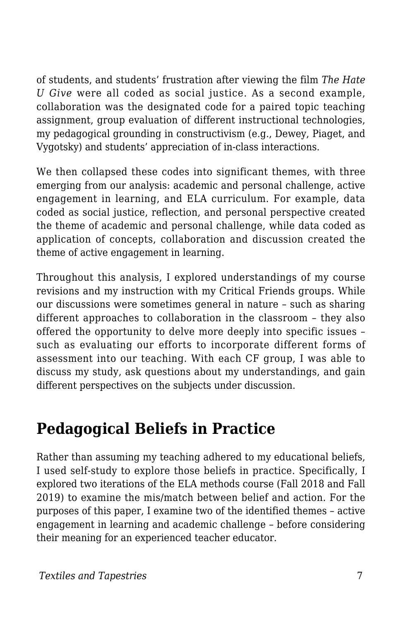of students, and students' frustration after viewing the film *The Hate U Give* were all coded as social justice. As a second example, collaboration was the designated code for a paired topic teaching assignment, group evaluation of different instructional technologies, my pedagogical grounding in constructivism (e.g., Dewey, Piaget, and Vygotsky) and students' appreciation of in-class interactions.

We then collapsed these codes into significant themes, with three emerging from our analysis: academic and personal challenge, active engagement in learning, and ELA curriculum. For example, data coded as social justice, reflection, and personal perspective created the theme of academic and personal challenge, while data coded as application of concepts, collaboration and discussion created the theme of active engagement in learning.

Throughout this analysis, I explored understandings of my course revisions and my instruction with my Critical Friends groups. While our discussions were sometimes general in nature – such as sharing different approaches to collaboration in the classroom – they also offered the opportunity to delve more deeply into specific issues – such as evaluating our efforts to incorporate different forms of assessment into our teaching. With each CF group, I was able to discuss my study, ask questions about my understandings, and gain different perspectives on the subjects under discussion.

### **Pedagogical Beliefs in Practice**

Rather than assuming my teaching adhered to my educational beliefs, I used self-study to explore those beliefs in practice. Specifically, I explored two iterations of the ELA methods course (Fall 2018 and Fall 2019) to examine the mis/match between belief and action. For the purposes of this paper, I examine two of the identified themes – active engagement in learning and academic challenge – before considering their meaning for an experienced teacher educator.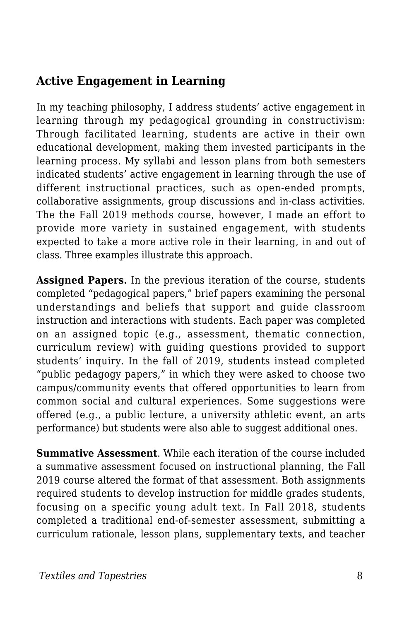#### **Active Engagement in Learning**

In my teaching philosophy, I address students' active engagement in learning through my pedagogical grounding in constructivism: Through facilitated learning, students are active in their own educational development, making them invested participants in the learning process. My syllabi and lesson plans from both semesters indicated students' active engagement in learning through the use of different instructional practices, such as open-ended prompts, collaborative assignments, group discussions and in-class activities. The the Fall 2019 methods course, however, I made an effort to provide more variety in sustained engagement, with students expected to take a more active role in their learning, in and out of class. Three examples illustrate this approach.

**Assigned Papers.** In the previous iteration of the course, students completed "pedagogical papers," brief papers examining the personal understandings and beliefs that support and guide classroom instruction and interactions with students. Each paper was completed on an assigned topic (e.g., assessment, thematic connection, curriculum review) with guiding questions provided to support students' inquiry. In the fall of 2019, students instead completed "public pedagogy papers," in which they were asked to choose two campus/community events that offered opportunities to learn from common social and cultural experiences. Some suggestions were offered (e.g., a public lecture, a university athletic event, an arts performance) but students were also able to suggest additional ones.

**Summative Assessment**. While each iteration of the course included a summative assessment focused on instructional planning, the Fall 2019 course altered the format of that assessment. Both assignments required students to develop instruction for middle grades students, focusing on a specific young adult text. In Fall 2018, students completed a traditional end-of-semester assessment, submitting a curriculum rationale, lesson plans, supplementary texts, and teacher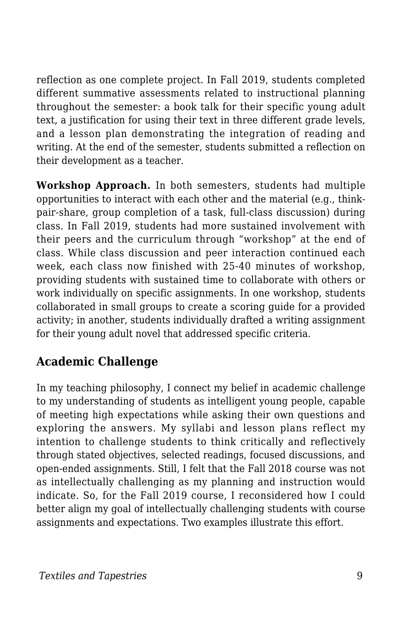reflection as one complete project. In Fall 2019, students completed different summative assessments related to instructional planning throughout the semester: a book talk for their specific young adult text, a justification for using their text in three different grade levels, and a lesson plan demonstrating the integration of reading and writing. At the end of the semester, students submitted a reflection on their development as a teacher.

**Workshop Approach.** In both semesters, students had multiple opportunities to interact with each other and the material (e.g., thinkpair-share, group completion of a task, full-class discussion) during class. In Fall 2019, students had more sustained involvement with their peers and the curriculum through "workshop" at the end of class. While class discussion and peer interaction continued each week, each class now finished with 25-40 minutes of workshop, providing students with sustained time to collaborate with others or work individually on specific assignments. In one workshop, students collaborated in small groups to create a scoring guide for a provided activity; in another, students individually drafted a writing assignment for their young adult novel that addressed specific criteria.

#### **Academic Challenge**

In my teaching philosophy, I connect my belief in academic challenge to my understanding of students as intelligent young people, capable of meeting high expectations while asking their own questions and exploring the answers. My syllabi and lesson plans reflect my intention to challenge students to think critically and reflectively through stated objectives, selected readings, focused discussions, and open-ended assignments. Still, I felt that the Fall 2018 course was not as intellectually challenging as my planning and instruction would indicate. So, for the Fall 2019 course, I reconsidered how I could better align my goal of intellectually challenging students with course assignments and expectations. Two examples illustrate this effort.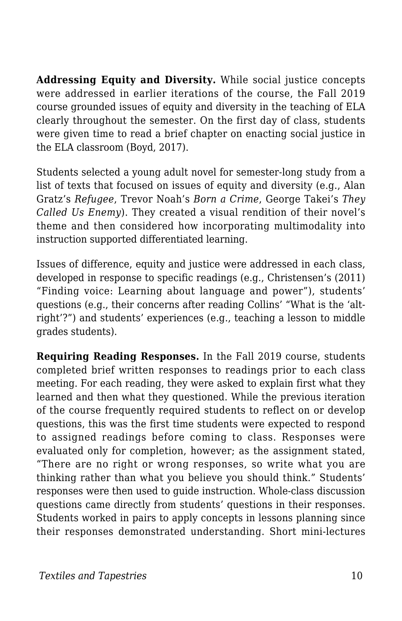**Addressing Equity and Diversity.** While social justice concepts were addressed in earlier iterations of the course, the Fall 2019 course grounded issues of equity and diversity in the teaching of ELA clearly throughout the semester. On the first day of class, students were given time to read a brief chapter on enacting social justice in the ELA classroom (Boyd, 2017).

Students selected a young adult novel for semester-long study from a list of texts that focused on issues of equity and diversity (e.g., Alan Gratz's *Refugee*, Trevor Noah's *Born a Crime*, George Takei's *They Called Us Enemy*). They created a visual rendition of their novel's theme and then considered how incorporating multimodality into instruction supported differentiated learning.

Issues of difference, equity and justice were addressed in each class, developed in response to specific readings (e.g., Christensen's (2011) "Finding voice: Learning about language and power"), students' questions (e.g., their concerns after reading Collins' "What is the 'altright'?") and students' experiences (e.g., teaching a lesson to middle grades students).

**Requiring Reading Responses.** In the Fall 2019 course, students completed brief written responses to readings prior to each class meeting. For each reading, they were asked to explain first what they learned and then what they questioned. While the previous iteration of the course frequently required students to reflect on or develop questions, this was the first time students were expected to respond to assigned readings before coming to class. Responses were evaluated only for completion, however; as the assignment stated, "There are no right or wrong responses, so write what you are thinking rather than what you believe you should think." Students' responses were then used to guide instruction. Whole-class discussion questions came directly from students' questions in their responses. Students worked in pairs to apply concepts in lessons planning since their responses demonstrated understanding. Short mini-lectures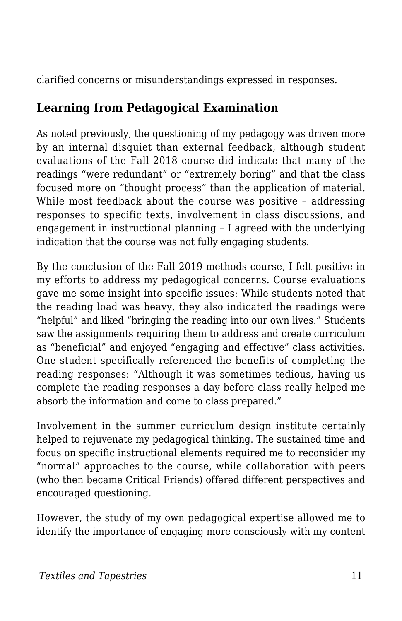clarified concerns or misunderstandings expressed in responses.

#### **Learning from Pedagogical Examination**

As noted previously, the questioning of my pedagogy was driven more by an internal disquiet than external feedback, although student evaluations of the Fall 2018 course did indicate that many of the readings "were redundant" or "extremely boring" and that the class focused more on "thought process" than the application of material. While most feedback about the course was positive – addressing responses to specific texts, involvement in class discussions, and engagement in instructional planning – I agreed with the underlying indication that the course was not fully engaging students.

By the conclusion of the Fall 2019 methods course, I felt positive in my efforts to address my pedagogical concerns. Course evaluations gave me some insight into specific issues: While students noted that the reading load was heavy, they also indicated the readings were "helpful" and liked "bringing the reading into our own lives." Students saw the assignments requiring them to address and create curriculum as "beneficial" and enjoyed "engaging and effective" class activities. One student specifically referenced the benefits of completing the reading responses: "Although it was sometimes tedious, having us complete the reading responses a day before class really helped me absorb the information and come to class prepared."

Involvement in the summer curriculum design institute certainly helped to rejuvenate my pedagogical thinking. The sustained time and focus on specific instructional elements required me to reconsider my "normal" approaches to the course, while collaboration with peers (who then became Critical Friends) offered different perspectives and encouraged questioning.

However, the study of my own pedagogical expertise allowed me to identify the importance of engaging more consciously with my content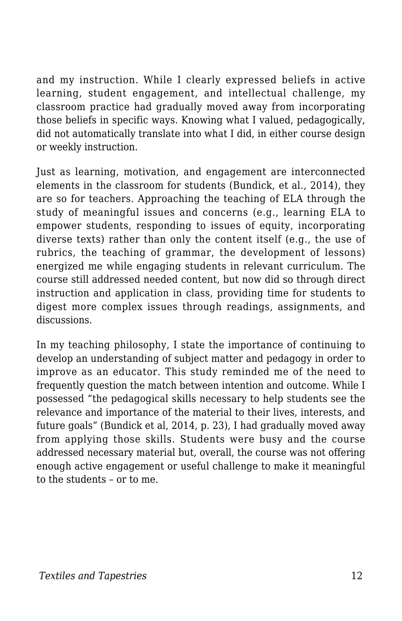and my instruction. While I clearly expressed beliefs in active learning, student engagement, and intellectual challenge, my classroom practice had gradually moved away from incorporating those beliefs in specific ways. Knowing what I valued, pedagogically, did not automatically translate into what I did, in either course design or weekly instruction.

Just as learning, motivation, and engagement are interconnected elements in the classroom for students (Bundick, et al., 2014), they are so for teachers. Approaching the teaching of ELA through the study of meaningful issues and concerns (e.g., learning ELA to empower students, responding to issues of equity, incorporating diverse texts) rather than only the content itself (e.g., the use of rubrics, the teaching of grammar, the development of lessons) energized me while engaging students in relevant curriculum. The course still addressed needed content, but now did so through direct instruction and application in class, providing time for students to digest more complex issues through readings, assignments, and discussions.

In my teaching philosophy, I state the importance of continuing to develop an understanding of subject matter and pedagogy in order to improve as an educator. This study reminded me of the need to frequently question the match between intention and outcome. While I possessed "the pedagogical skills necessary to help students see the relevance and importance of the material to their lives, interests, and future goals" (Bundick et al, 2014, p. 23), I had gradually moved away from applying those skills. Students were busy and the course addressed necessary material but, overall, the course was not offering enough active engagement or useful challenge to make it meaningful to the students – or to me.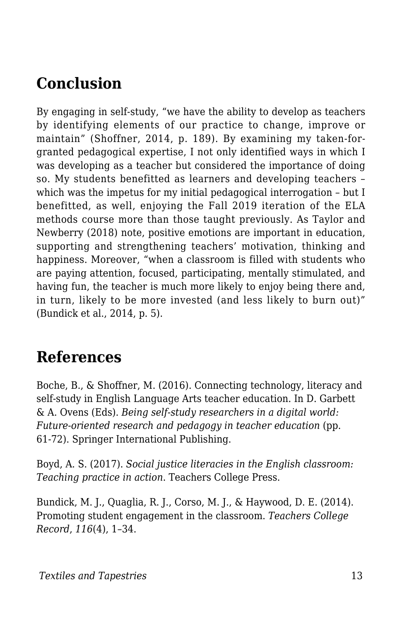### **Conclusion**

By engaging in self-study, "we have the ability to develop as teachers by identifying elements of our practice to change, improve or maintain" (Shoffner, 2014, p. 189). By examining my taken-forgranted pedagogical expertise, I not only identified ways in which I was developing as a teacher but considered the importance of doing so. My students benefitted as learners and developing teachers – which was the impetus for my initial pedagogical interrogation – but I benefitted, as well, enjoying the Fall 2019 iteration of the ELA methods course more than those taught previously. As Taylor and Newberry (2018) note, positive emotions are important in education, supporting and strengthening teachers' motivation, thinking and happiness. Moreover, "when a classroom is filled with students who are paying attention, focused, participating, mentally stimulated, and having fun, the teacher is much more likely to enjoy being there and, in turn, likely to be more invested (and less likely to burn out)" (Bundick et al., 2014, p. 5).

#### **References**

Boche, B., & Shoffner, M. (2016). Connecting technology, literacy and self-study in English Language Arts teacher education. In D. Garbett & A. Ovens (Eds). *Being self-study researchers in a digital world: Future-oriented research and pedagogy in teacher education (pp.* 61-72). Springer International Publishing.

Boyd, A. S. (2017). *Social justice literacies in the English classroom: Teaching practice in action*. Teachers College Press.

Bundick, M. J., Quaglia, R. J., Corso, M. J., & Haywood, D. E. (2014). Promoting student engagement in the classroom. *Teachers College Record*, *116*(4), 1–34.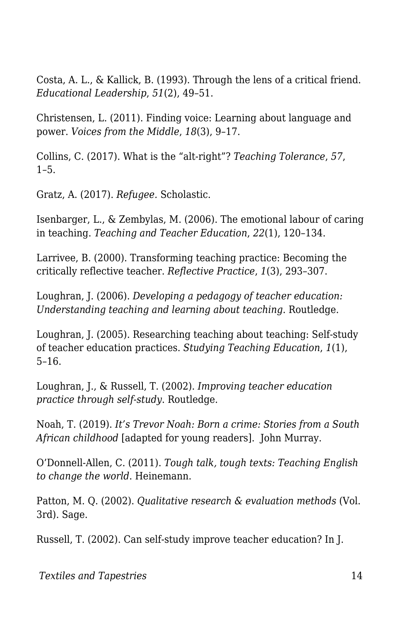Costa, A. L., & Kallick, B. (1993). Through the lens of a critical friend. *Educational Leadership*, *51*(2), 49–51.

Christensen, L. (2011). Finding voice: Learning about language and power. *Voices from the Middle*, *18*(3), 9–17.

Collins, C. (2017). What is the "alt-right"? *Teaching Tolerance*, *57*,  $1 - 5$ .

Gratz, A. (2017). *Refugee.* Scholastic.

Isenbarger, L., & Zembylas, M. (2006). The emotional labour of caring in teaching. *Teaching and Teacher Education*, *22*(1), 120–134.

Larrivee, B. (2000). Transforming teaching practice: Becoming the critically reflective teacher. *Reflective Practice*, *1*(3), 293–307.

Loughran, J. (2006). *Developing a pedagogy of teacher education: Understanding teaching and learning about teaching*. Routledge.

Loughran, J. (2005). Researching teaching about teaching: Self-study of teacher education practices. *Studying Teaching Education*, *1*(1), 5–16.

Loughran, J., & Russell, T. (2002). *Improving teacher education practice through self-study*. Routledge.

Noah, T. (2019). *It's Trevor Noah: Born a crime: Stories from a South African childhood* [adapted for young readers]. John Murray.

O'Donnell-Allen, C. (2011). *Tough talk, tough texts: Teaching English to change the world*. Heinemann.

Patton, M. Q. (2002). *Qualitative research & evaluation methods* (Vol. 3rd). Sage.

Russell, T. (2002). Can self-study improve teacher education? In J.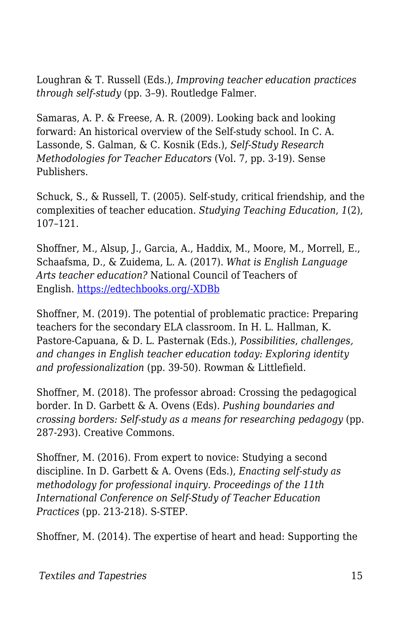Loughran & T. Russell (Eds.), *Improving teacher education practices through self-study* (pp. 3–9). Routledge Falmer.

Samaras, A. P. & Freese, A. R. (2009). Looking back and looking forward: An historical overview of the Self-study school. In C. A. Lassonde, S. Galman, & C. Kosnik (Eds.), *Self-Study Research Methodologies for Teacher Educators* (Vol. 7, pp. 3-19). Sense Publishers.

Schuck, S., & Russell, T. (2005). Self-study, critical friendship, and the complexities of teacher education. *Studying Teaching Education*, *1*(2), 107–121.

Shoffner, M., Alsup, J., Garcia, A., Haddix, M., Moore, M., Morrell, E., Schaafsma, D., & Zuidema, L. A. (2017). *What is English Language Arts teacher education?* National Council of Teachers of English. [https://edtechbooks.org/-XDBb](http://www2.ncte.org/statement/whatiselateachereducation/)

Shoffner, M. (2019). The potential of problematic practice: Preparing teachers for the secondary ELA classroom. In H. L. Hallman, K. Pastore-Capuana, & D. L. Pasternak (Eds.), *Possibilities*, *challenges, and changes in English teacher education today: Exploring identity and professionalization* (pp. 39-50). Rowman & Littlefield.

Shoffner, M. (2018). The professor abroad: Crossing the pedagogical border. In D. Garbett & A. Ovens (Eds). *Pushing boundaries and crossing borders: Self-study as a means for researching pedagogy* (pp. 287-293). Creative Commons.

Shoffner, M. (2016). From expert to novice: Studying a second discipline. In D. Garbett & A. Ovens (Eds.), *Enacting self-study as methodology for professional inquiry. Proceedings of the 11th International Conference on Self-Study of Teacher Education Practices* (pp. 213-218). S-STEP.

Shoffner, M. (2014). The expertise of heart and head: Supporting the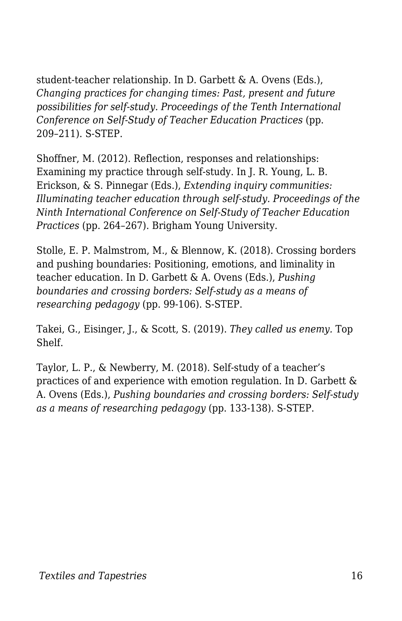student-teacher relationship. In D. Garbett & A. Ovens (Eds.), *Changing practices for changing times: Past, present and future possibilities for self-study. Proceedings of the Tenth International Conference on Self-Study of Teacher Education Practices* (pp. 209–211). S-STEP.

Shoffner, M. (2012). Reflection, responses and relationships: Examining my practice through self-study. In J. R. Young, L. B. Erickson, & S. Pinnegar (Eds.), *Extending inquiry communities: Illuminating teacher education through self-study. Proceedings of the Ninth International Conference on Self-Study of Teacher Education Practices* (pp. 264–267). Brigham Young University.

Stolle, E. P. Malmstrom, M., & Blennow, K. (2018). Crossing borders and pushing boundaries: Positioning, emotions, and liminality in teacher education. In D. Garbett & A. Ovens (Eds.), *Pushing boundaries and crossing borders: Self-study as a means of researching pedagogy* (pp. 99-106). S-STEP.

Takei, G., Eisinger, J., & Scott, S. (2019). *They called us enemy.* Top Shelf.

Taylor, L. P., & Newberry, M. (2018). Self-study of a teacher's practices of and experience with emotion regulation. In D. Garbett & A. Ovens (Eds.), *Pushing boundaries and crossing borders: Self-study as a means of researching pedagogy* (pp. 133-138). S-STEP.